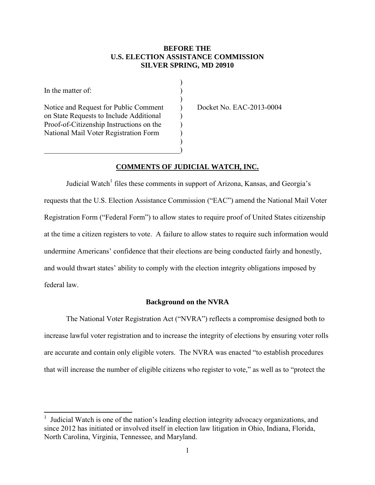## **BEFORE THE SILVER SPRING, MD 20910 U.S. ELECTION ASSISTANCE COMMISSION**

)

)

)

In the matter of:  $\qquad \qquad$ )

 $\overline{\phantom{a}}$ 

on State Requests to Include Additional  $\qquad)$ Proof-of-Citizenship Instructions on the  $\qquad$ ) National Mail Voter Registration Form  $\qquad)$ Notice and Request for Public Comment ) Docket No. EAC-2013-0004

 $\hspace{.5em}$   $\hspace{.5em}$   $\hspace{.5em}$   $\hspace{.5em}$   $\hspace{.5em}$   $\hspace{.5em}$   $\hspace{.5em}$   $\hspace{.5em}$   $\hspace{.5em}$   $\hspace{.5em}$   $\hspace{.5em}$   $\hspace{.5em}$   $\hspace{.5em}$   $\hspace{.5em}$   $\hspace{.5em}$   $\hspace{.5em}$   $\hspace{.5em}$   $\hspace{.5em}$   $\hspace{.5em}$   $\hspace{.5em}$ 

### **COMMENTS OF JUDICIAL WATCH, INC.**

 requests that the U.S. Election Assistance Commission ("EAC") amend the National Mail Voter Judicial Watch<sup>1</sup> files these comments in support of Arizona, Kansas, and Georgia's Registration Form ("Federal Form") to allow states to require proof of United States citizenship at the time a citizen registers to vote. A failure to allow states to require such information would undermine Americans' confidence that their elections are being conducted fairly and honestly, and would thwart states' ability to comply with the election integrity obligations imposed by federal law.

#### **Background on the NVRA**

 The National Voter Registration Act ("NVRA") reflects a compromise designed both to are accurate and contain only eligible voters. The NVRA was enacted "to establish procedures increase lawful voter registration and to increase the integrity of elections by ensuring voter rolls that will increase the number of eligible citizens who register to vote," as well as to "protect the

<sup>1</sup> Judicial Watch is one of the nation's leading election integrity advocacy organizations, and since 2012 has initiated or involved itself in election law litigation in Ohio, Indiana, Florida, North Carolina, Virginia, Tennessee, and Maryland.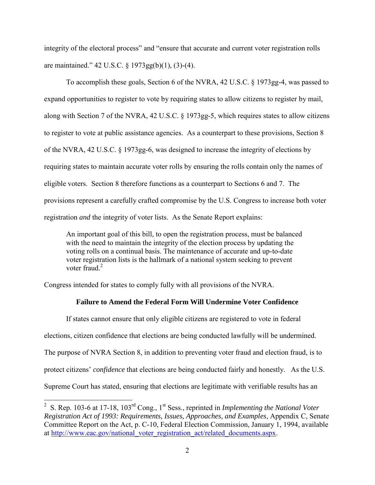integrity of the electoral process" and "ensure that accurate and current voter registration rolls are maintained." 42 U.S.C. § 1973gg(b)(1), (3)-(4).

 along with Section 7 of the NVRA, 42 U.S.C. § 1973gg-5, which requires states to allow citizens to register to vote at public assistance agencies. As a counterpart to these provisions, Section 8 requiring states to maintain accurate voter rolls by ensuring the rolls contain only the names of eligible voters. Section 8 therefore functions as a counterpart to Sections 6 and 7. The registration *and* the integrity of voter lists. As the Senate Report explains: To accomplish these goals, Section 6 of the NVRA, 42 U.S.C. § 1973gg-4, was passed to expand opportunities to register to vote by requiring states to allow citizens to register by mail, of the NVRA, 42 U.S.C. § 1973gg-6, was designed to increase the integrity of elections by provisions represent a carefully crafted compromise by the U.S. Congress to increase both voter

 with the need to maintain the integrity of the election process by updating the An important goal of this bill, to open the registration process, must be balanced voting rolls on a continual basis. The maintenance of accurate and up-to-date voter registration lists is the hallmark of a national system seeking to prevent voter fraud  $2$ 

Congress intended for states to comply fully with all provisions of the NVRA.

 $\overline{a}$ 

# **Failure to Amend the Federal Form Will Undermine Voter Confidence**

If states cannot ensure that only eligible citizens are registered to vote in federal elections, citizen confidence that elections are being conducted lawfully will be undermined. The purpose of NVRA Section 8, in addition to preventing voter fraud and election fraud, is to protect citizens' *confidence* that elections are being conducted fairly and honestly. As the U.S. Supreme Court has stated, ensuring that elections are legitimate with verifiable results has an

<sup>&</sup>lt;sup>2</sup> S. Rep. 103-6 at 17-18, 103<sup>rd</sup> Cong., 1<sup>st</sup> Sess., reprinted in *Implementing the National Voter Registration Act of 1993: Requirements, Issues, Approaches, and Examples*, Appendix C, Senate Committee Report on the Act, p. C-10, Federal Election Commission, January 1, 1994, available at http://www.eac.gov/national\_voter\_registration\_act/related\_documents.aspx.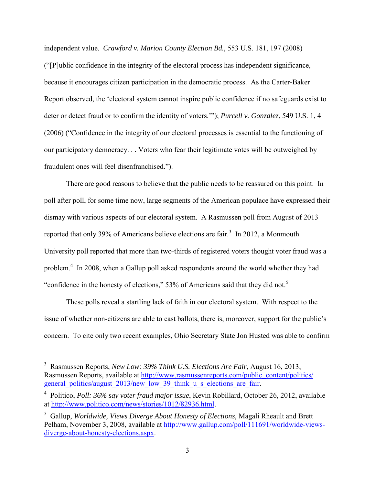independent value. Crawford v. Marion County Election Bd., 553 U.S. 181, 197 (2008) independent value. *Crawford v. Marion County Election Bd.*, 553 U.S. 181, 197 (2008) ("[P]ublic confidence in the integrity of the electoral process has independent significance, because it encourages citizen participation in the democratic process. As the Carter-Baker Report observed, the 'electoral system cannot inspire public confidence if no safeguards exist to deter or detect fraud or to confirm the identity of voters.'"); *Purcell v. Gonzalez*, 549 U.S. 1, 4 (2006) ("Confidence in the integrity of our electoral processes is essential to the functioning of our participatory democracy. . . Voters who fear their legitimate votes will be outweighed by fraudulent ones will feel disenfranchised.").

 There are good reasons to believe that the public needs to be reassured on this point. In reported that only 39% of Americans believe elections are fair.<sup>3</sup> In 2012, a Monmouth problem.<sup>4</sup> In 2008, when a Gallup poll asked respondents around the world whether they had poll after poll, for some time now, large segments of the American populace have expressed their dismay with various aspects of our electoral system. A Rasmussen poll from August of 2013 University poll reported that more than two-thirds of registered voters thought voter fraud was a "confidence in the honesty of elections," 53% of Americans said that they did not.<sup>5</sup>

These polls reveal a startling lack of faith in our electoral system. With respect to the issue of whether non-citizens are able to cast ballots, there is, moreover, support for the public's concern. To cite only two recent examples, Ohio Secretary State Jon Husted was able to confirm

 $\overline{\phantom{a}}$ 

 3 Rasmussen Reports, *New Low: 39% Think U.S. Elections Are Fair*, August 16, 2013, general politics/august 2013/new low 39 think u s elections are fair. Rasmussen Reports, available at http://www.rasmussenreports.com/public\_content/politics/

 general\_politics/august\_2013/new\_low\_39\_think\_u\_s\_elections\_are\_fair. 4 Politico, *Poll: 36% say voter fraud major issue*, Kevin Robillard, October 26, 2012, available at http://www.politico.com/news/stories/1012/82936.html.

 5 Gallup, *Worldwide, Views Diverge About Honesty of Elections*, Magali Rheault and Brett Pelham, November 3, 2008, available at http://www.gallup.com/poll/111691/worldwide-viewsdiverge-about-honesty-elections.aspx.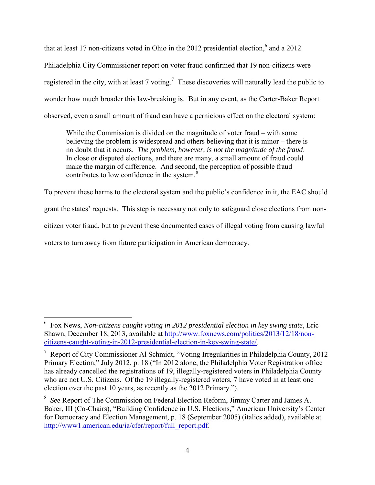registered in the city, with at least 7 voting.<sup>7</sup> These discoveries will naturally lead the public to observed, even a small amount of fraud can have a pernicious effect on the electoral system: that at least 17 non-citizens voted in Ohio in the 2012 presidential election.<sup>6</sup> and a 2012 Philadelphia City Commissioner report on voter fraud confirmed that 19 non-citizens were wonder how much broader this law-breaking is. But in any event, as the Carter-Baker Report

contributes to low confidence in the system. $8$ While the Commission is divided on the magnitude of voter fraud – with some believing the problem is widespread and others believing that it is minor – there is no doubt that it occurs. *The problem, however, is not the magnitude of the fraud*. In close or disputed elections, and there are many, a small amount of fraud could make the margin of difference. And second, the perception of possible fraud

 To prevent these harms to the electoral system and the public's confidence in it, the EAC should grant the states' requests. This step is necessary not only to safeguard close elections from noncitizen voter fraud, but to prevent these documented cases of illegal voting from causing lawful voters to turn away from future participation in American democracy.

 $\overline{\phantom{a}}$ 

 6 Fox News, *Non-citizens caught voting in 2012 presidential election in key swing state*, Eric Shawn, December 18, 2013, available at http://www.foxnews.com/politics/2013/12/18/noncitizens-caught-voting-in-2012-presidential-election-in-key-swing-state/.

 $7$  Report of City Commissioner Al Schmidt, "Voting Irregularities in Philadelphia County, 2012 Primary Election," July 2012, p. 18 ("In 2012 alone, the Philadelphia Voter Registration office has already cancelled the registrations of 19, illegally-registered voters in Philadelphia County who are not U.S. Citizens. Of the 19 illegally-registered voters, 7 have voted in at least one election over the past 10 years, as recently as the 2012 Primary.").

 <sup>8</sup>*See* Report of The Commission on Federal Election Reform, Jimmy Carter and James A. http://www1.american.edu/ia/cfer/report/full\_report.pdf.<br>4 Baker, III (Co-Chairs), "Building Confidence in U.S. Elections," American University's Center for Democracy and Election Management, p. 18 (September 2005) (italics added), available at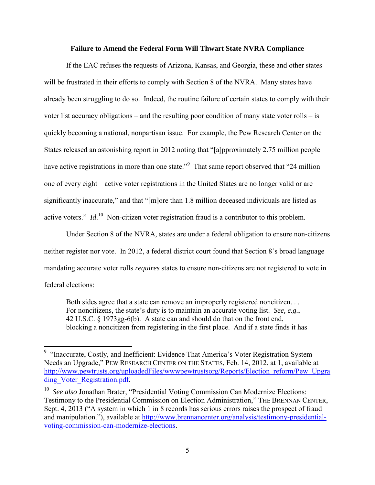#### **Failure to Amend the Federal Form Will Thwart State NVRA Compliance**

 will be frustrated in their efforts to comply with Section 8 of the NVRA. Many states have already been struggling to do so. Indeed, the routine failure of certain states to comply with their voter list accuracy obligations – and the resulting poor condition of many state voter rolls – is have active registrations in more than one state."<sup>9</sup> That same report observed that "24 million – active voters." *Id*.<sup>10</sup> Non-citizen voter registration fraud is a contributor to this problem. If the EAC refuses the requests of Arizona, Kansas, and Georgia, these and other states quickly becoming a national, nonpartisan issue. For example, the Pew Research Center on the States released an astonishing report in 2012 noting that "[a]pproximately 2.75 million people one of every eight – active voter registrations in the United States are no longer valid or are significantly inaccurate," and that "[m]ore than 1.8 million deceased individuals are listed as

federal elections: Under Section 8 of the NVRA, states are under a federal obligation to ensure non-citizens neither register nor vote. In 2012, a federal district court found that Section 8's broad language mandating accurate voter rolls *requires* states to ensure non-citizens are not registered to vote in

 blocking a noncitizen from registering in the first place. And if a state finds it has Both sides agree that a state can remove an improperly registered noncitizen. . . For noncitizens, the state's duty is to maintain an accurate voting list. *See, e.g.*, 42 U.S.C. § 1973gg-6(b). A state can and should do that on the front end,

 $\overline{\phantom{a}}$ 

<sup>&</sup>lt;sup>9</sup> "Inaccurate, Costly, and Inefficient: Evidence That America's Voter Registration System Needs an Upgrade," PEW RESEARCH CENTER ON THE STATES, Feb. 14, 2012, at 1, available at http://www.pewtrusts.org/uploadedFiles/wwwpewtrustsorg/Reports/Election\_reform/Pew\_Upgra ding Voter Registration.pdf.

<sup>&</sup>lt;sup>10</sup> See also Jonathan Brater, "Presidential Voting Commission Can Modernize Elections: Testimony to the Presidential Commission on Election Administration," THE BRENNAN CENTER, Sept. 4, 2013 ("A system in which 1 in 8 records has serious errors raises the prospect of fraud and manipulation."), available at http://www.brennancenter.org/analysis/testimony-presidentialvoting-commission-can-modernize-elections.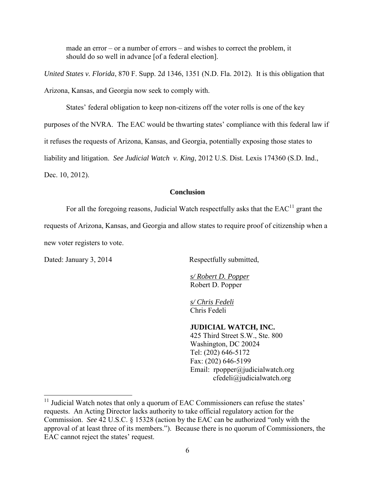made an error – or a number of errors – and wishes to correct the problem, it should do so well in advance [of a federal election].

 Arizona, Kansas, and Georgia now seek to comply with. *United States v. Florida*, 870 F. Supp. 2d 1346, 1351 (N.D. Fla. 2012). It is this obligation that

 States' federal obligation to keep non-citizens off the voter rolls is one of the key purposes of the NVRA. The EAC would be thwarting states' compliance with this federal law if it refuses the requests of Arizona, Kansas, and Georgia, potentially exposing those states to  liability and litigation. *See Judicial Watch v. King*, 2012 U.S. Dist. Lexis 174360 (S.D. Ind., Dec. 10, 2012).

### **Conclusion**

For all the foregoing reasons, Judicial Watch respectfully asks that the  $EAC<sup>11</sup>$  grant the

requests of Arizona, Kansas, and Georgia and allow states to require proof of citizenship when a new voter registers to vote.

Dated: January 3, 2014

l

Respectfully submitted,

 *s/ Robert D. Popper* Robert D. Popper

 Chris Fedeli *s/ Chris Fedeli* 

## **JUDICIAL WATCH, INC.**

 Email: rpopper@judicialwatch.org 425 Third Street S.W., Ste. 800 Washington, DC 20024 Tel: (202) 646-5172 Fax: (202) 646-5199 cfedeli@judicialwatch.org

 $11$  Judicial Watch notes that only a quorum of EAC Commissioners can refuse the states' approval of at least three of its members."). Because there is no quorum of Commissioners, the requests. An Acting Director lacks authority to take official regulatory action for the Commission. *See* 42 U.S.C. § 15328 (action by the EAC can be authorized "only with the EAC cannot reject the states' request.